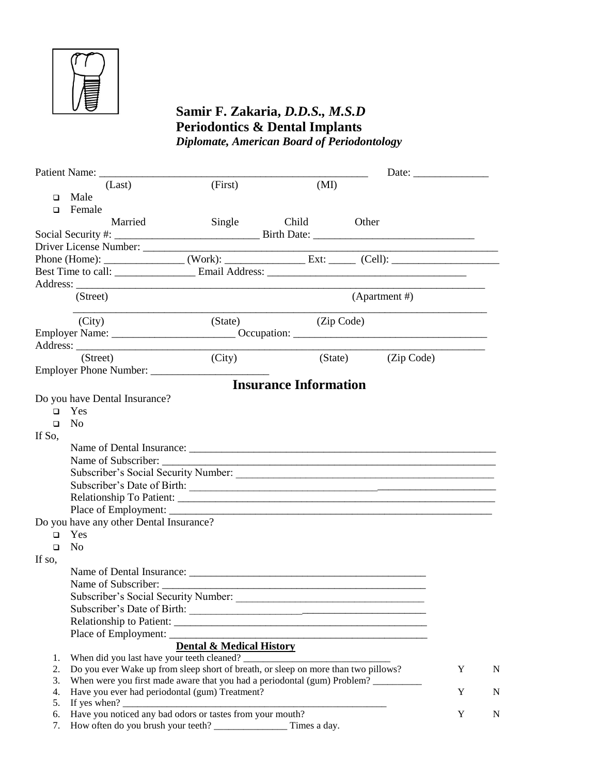

## **Samir F. Zakaria,** *D.D.S., M.S.D* **Periodontics & Dental Implants** *Diplomate, American Board of Periodontology*

|          | (Last)                                                                                                                                                                                                                                                                                                                                                                                                                                          | (First)                             | (MI)                                                                                                                  |         |               |             |   |  |  |
|----------|-------------------------------------------------------------------------------------------------------------------------------------------------------------------------------------------------------------------------------------------------------------------------------------------------------------------------------------------------------------------------------------------------------------------------------------------------|-------------------------------------|-----------------------------------------------------------------------------------------------------------------------|---------|---------------|-------------|---|--|--|
|          | $\Box$ Male                                                                                                                                                                                                                                                                                                                                                                                                                                     |                                     |                                                                                                                       |         |               |             |   |  |  |
|          | $\Box$ Female                                                                                                                                                                                                                                                                                                                                                                                                                                   |                                     |                                                                                                                       |         |               |             |   |  |  |
|          | Married                                                                                                                                                                                                                                                                                                                                                                                                                                         | Single                              | Child                                                                                                                 | Other   |               |             |   |  |  |
|          |                                                                                                                                                                                                                                                                                                                                                                                                                                                 |                                     |                                                                                                                       |         |               |             |   |  |  |
|          |                                                                                                                                                                                                                                                                                                                                                                                                                                                 |                                     |                                                                                                                       |         |               |             |   |  |  |
|          |                                                                                                                                                                                                                                                                                                                                                                                                                                                 |                                     |                                                                                                                       |         |               |             |   |  |  |
|          |                                                                                                                                                                                                                                                                                                                                                                                                                                                 |                                     |                                                                                                                       |         |               |             |   |  |  |
|          |                                                                                                                                                                                                                                                                                                                                                                                                                                                 |                                     |                                                                                                                       |         |               |             |   |  |  |
|          | (Street)                                                                                                                                                                                                                                                                                                                                                                                                                                        |                                     |                                                                                                                       |         | (Apartment #) |             |   |  |  |
|          |                                                                                                                                                                                                                                                                                                                                                                                                                                                 |                                     |                                                                                                                       |         |               |             |   |  |  |
|          | (City)                                                                                                                                                                                                                                                                                                                                                                                                                                          | (State)                             | (Zip Code)                                                                                                            |         |               |             |   |  |  |
|          |                                                                                                                                                                                                                                                                                                                                                                                                                                                 |                                     |                                                                                                                       |         |               |             |   |  |  |
|          |                                                                                                                                                                                                                                                                                                                                                                                                                                                 |                                     |                                                                                                                       |         |               |             |   |  |  |
|          | (Street)                                                                                                                                                                                                                                                                                                                                                                                                                                        | (City)                              |                                                                                                                       | (State) | (Zip Code)    |             |   |  |  |
|          | Employer Phone Number:                                                                                                                                                                                                                                                                                                                                                                                                                          |                                     |                                                                                                                       |         |               |             |   |  |  |
|          |                                                                                                                                                                                                                                                                                                                                                                                                                                                 |                                     | <b>Insurance Information</b>                                                                                          |         |               |             |   |  |  |
|          | Do you have Dental Insurance?                                                                                                                                                                                                                                                                                                                                                                                                                   |                                     |                                                                                                                       |         |               |             |   |  |  |
|          | $\Box$ Yes                                                                                                                                                                                                                                                                                                                                                                                                                                      |                                     |                                                                                                                       |         |               |             |   |  |  |
| $\Box$   | N <sub>o</sub>                                                                                                                                                                                                                                                                                                                                                                                                                                  |                                     |                                                                                                                       |         |               |             |   |  |  |
| If So,   |                                                                                                                                                                                                                                                                                                                                                                                                                                                 |                                     |                                                                                                                       |         |               |             |   |  |  |
|          |                                                                                                                                                                                                                                                                                                                                                                                                                                                 |                                     |                                                                                                                       |         |               |             |   |  |  |
|          |                                                                                                                                                                                                                                                                                                                                                                                                                                                 |                                     |                                                                                                                       |         |               |             |   |  |  |
|          |                                                                                                                                                                                                                                                                                                                                                                                                                                                 |                                     |                                                                                                                       |         |               |             |   |  |  |
|          | Subscriber's Date of Birth:                                                                                                                                                                                                                                                                                                                                                                                                                     |                                     |                                                                                                                       |         |               |             |   |  |  |
|          |                                                                                                                                                                                                                                                                                                                                                                                                                                                 |                                     |                                                                                                                       |         |               |             |   |  |  |
|          |                                                                                                                                                                                                                                                                                                                                                                                                                                                 |                                     |                                                                                                                       |         |               |             |   |  |  |
|          | Do you have any other Dental Insurance?                                                                                                                                                                                                                                                                                                                                                                                                         |                                     |                                                                                                                       |         |               |             |   |  |  |
|          | $\Box$ Yes                                                                                                                                                                                                                                                                                                                                                                                                                                      |                                     |                                                                                                                       |         |               |             |   |  |  |
| $\Box$   | N <sub>o</sub>                                                                                                                                                                                                                                                                                                                                                                                                                                  |                                     |                                                                                                                       |         |               |             |   |  |  |
| If so,   |                                                                                                                                                                                                                                                                                                                                                                                                                                                 |                                     |                                                                                                                       |         |               |             |   |  |  |
|          |                                                                                                                                                                                                                                                                                                                                                                                                                                                 |                                     |                                                                                                                       |         |               |             |   |  |  |
|          |                                                                                                                                                                                                                                                                                                                                                                                                                                                 |                                     |                                                                                                                       |         |               |             |   |  |  |
|          |                                                                                                                                                                                                                                                                                                                                                                                                                                                 |                                     |                                                                                                                       |         |               |             |   |  |  |
|          | Subscriber's Date of Birth:                                                                                                                                                                                                                                                                                                                                                                                                                     |                                     |                                                                                                                       |         |               |             |   |  |  |
|          |                                                                                                                                                                                                                                                                                                                                                                                                                                                 |                                     |                                                                                                                       |         |               |             |   |  |  |
|          |                                                                                                                                                                                                                                                                                                                                                                                                                                                 |                                     | <u> 1989 - Johann Barbara, martin amerikan basar dan berasal dan berasal dalam basar dalam basar dalam basar dala</u> |         |               |             |   |  |  |
|          |                                                                                                                                                                                                                                                                                                                                                                                                                                                 | <b>Dental &amp; Medical History</b> |                                                                                                                       |         |               |             |   |  |  |
| 1.       | When did you last have your teeth cleaned? _________                                                                                                                                                                                                                                                                                                                                                                                            |                                     |                                                                                                                       |         |               | $\mathbf Y$ |   |  |  |
| 2.       | Do you ever Wake up from sleep short of breath, or sleep on more than two pillows?                                                                                                                                                                                                                                                                                                                                                              |                                     |                                                                                                                       |         |               |             | N |  |  |
| 3.       | When were you first made aware that you had a periodontal (gum) Problem?                                                                                                                                                                                                                                                                                                                                                                        |                                     |                                                                                                                       |         |               |             |   |  |  |
| 4.<br>5. | Have you ever had periodontal (gum) Treatment?<br>If yes when? $\frac{1}{\sqrt{1-\frac{1}{2}}}\left\{ \frac{1}{2} + \frac{1}{2} + \frac{1}{2} + \frac{1}{2} + \frac{1}{2} + \frac{1}{2} + \frac{1}{2} + \frac{1}{2} + \frac{1}{2} + \frac{1}{2} + \frac{1}{2} + \frac{1}{2} + \frac{1}{2} + \frac{1}{2} + \frac{1}{2} + \frac{1}{2} + \frac{1}{2} + \frac{1}{2} + \frac{1}{2} + \frac{1}{2} + \frac{1}{2} + \frac{1}{2} + \frac{1}{2} + \frac{$ |                                     |                                                                                                                       |         |               | Y           | N |  |  |
| 6.       | Have you noticed any bad odors or tastes from your mouth?                                                                                                                                                                                                                                                                                                                                                                                       |                                     |                                                                                                                       |         |               | Y           | N |  |  |
| 7.       |                                                                                                                                                                                                                                                                                                                                                                                                                                                 |                                     | Times a day.                                                                                                          |         |               |             |   |  |  |